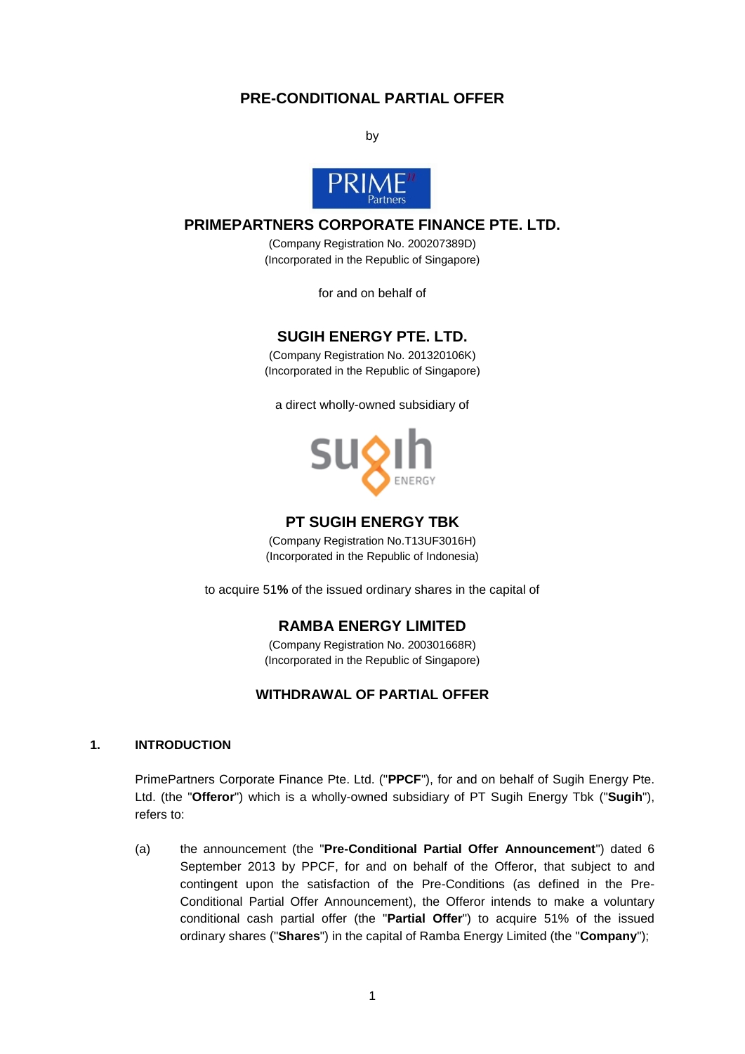# **PRE-CONDITIONAL PARTIAL OFFER**

by



# **PRIMEPARTNERS CORPORATE FINANCE PTE. LTD.**

(Company Registration No. 200207389D) (Incorporated in the Republic of Singapore)

for and on behalf of

# **SUGIH ENERGY PTE. LTD.**

(Company Registration No. 201320106K) (Incorporated in the Republic of Singapore)

a direct wholly-owned subsidiary of



## **PT SUGIH ENERGY TBK**

(Company Registration No.T13UF3016H) (Incorporated in the Republic of Indonesia)

to acquire 51**%** of the issued ordinary shares in the capital of

## **RAMBA ENERGY LIMITED**

(Company Registration No. 200301668R) (Incorporated in the Republic of Singapore)

## **WITHDRAWAL OF PARTIAL OFFER**

#### **1. INTRODUCTION**

PrimePartners Corporate Finance Pte. Ltd. ("**PPCF**"), for and on behalf of Sugih Energy Pte. Ltd. (the "**Offeror**") which is a wholly-owned subsidiary of PT Sugih Energy Tbk ("**Sugih**"), refers to:

(a) the announcement (the "**Pre-Conditional Partial Offer Announcement**") dated 6 September 2013 by PPCF, for and on behalf of the Offeror, that subject to and contingent upon the satisfaction of the Pre-Conditions (as defined in the Pre-Conditional Partial Offer Announcement), the Offeror intends to make a voluntary conditional cash partial offer (the "**Partial Offer**") to acquire 51% of the issued ordinary shares ("**Shares**") in the capital of Ramba Energy Limited (the "**Company**");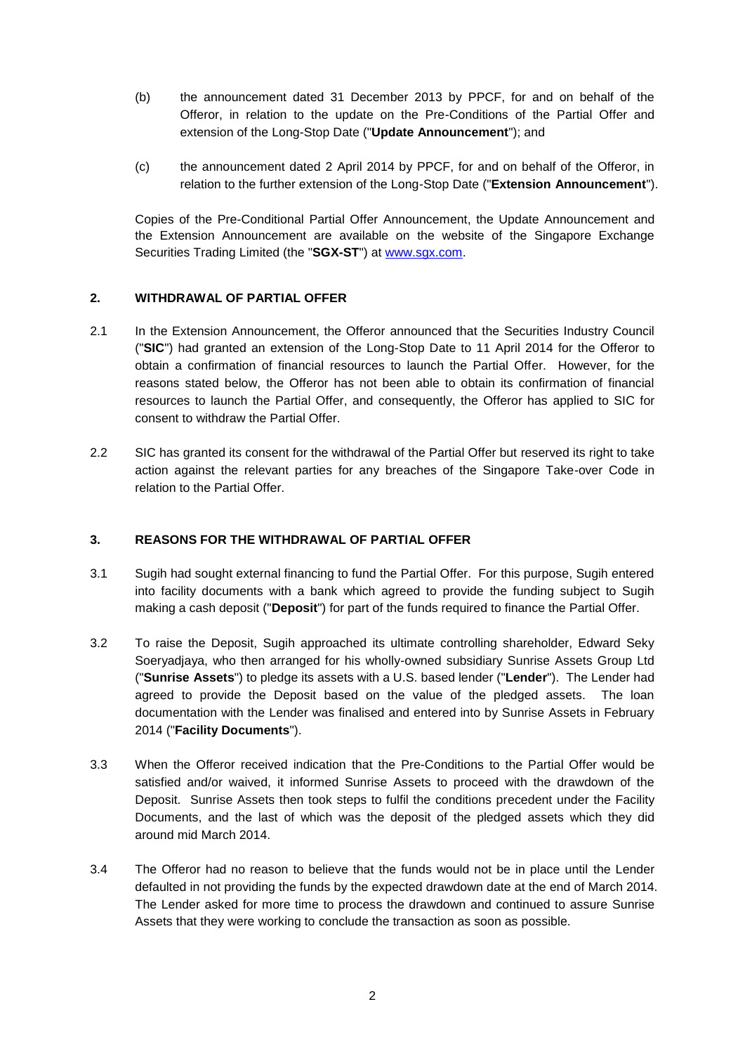- (b) the announcement dated 31 December 2013 by PPCF, for and on behalf of the Offeror, in relation to the update on the Pre-Conditions of the Partial Offer and extension of the Long-Stop Date ("**Update Announcement**"); and
- (c) the announcement dated 2 April 2014 by PPCF, for and on behalf of the Offeror, in relation to the further extension of the Long-Stop Date ("**Extension Announcement**").

Copies of the Pre-Conditional Partial Offer Announcement, the Update Announcement and the Extension Announcement are available on the website of the Singapore Exchange Securities Trading Limited (the "**SGX-ST**") at [www.sgx.com.](http://www.sgx.com/)

#### **2. WITHDRAWAL OF PARTIAL OFFER**

- 2.1 In the Extension Announcement, the Offeror announced that the Securities Industry Council ("**SIC**") had granted an extension of the Long-Stop Date to 11 April 2014 for the Offeror to obtain a confirmation of financial resources to launch the Partial Offer. However, for the reasons stated below, the Offeror has not been able to obtain its confirmation of financial resources to launch the Partial Offer, and consequently, the Offeror has applied to SIC for consent to withdraw the Partial Offer.
- 2.2 SIC has granted its consent for the withdrawal of the Partial Offer but reserved its right to take action against the relevant parties for any breaches of the Singapore Take-over Code in relation to the Partial Offer.

#### **3. REASONS FOR THE WITHDRAWAL OF PARTIAL OFFER**

- 3.1 Sugih had sought external financing to fund the Partial Offer. For this purpose, Sugih entered into facility documents with a bank which agreed to provide the funding subject to Sugih making a cash deposit ("**Deposit**") for part of the funds required to finance the Partial Offer.
- 3.2 To raise the Deposit, Sugih approached its ultimate controlling shareholder, Edward Seky Soeryadjaya, who then arranged for his wholly-owned subsidiary Sunrise Assets Group Ltd ("**Sunrise Assets**") to pledge its assets with a U.S. based lender ("**Lender**"). The Lender had agreed to provide the Deposit based on the value of the pledged assets. The loan documentation with the Lender was finalised and entered into by Sunrise Assets in February 2014 ("**Facility Documents**").
- 3.3 When the Offeror received indication that the Pre-Conditions to the Partial Offer would be satisfied and/or waived, it informed Sunrise Assets to proceed with the drawdown of the Deposit. Sunrise Assets then took steps to fulfil the conditions precedent under the Facility Documents, and the last of which was the deposit of the pledged assets which they did around mid March 2014.
- 3.4 The Offeror had no reason to believe that the funds would not be in place until the Lender defaulted in not providing the funds by the expected drawdown date at the end of March 2014. The Lender asked for more time to process the drawdown and continued to assure Sunrise Assets that they were working to conclude the transaction as soon as possible.